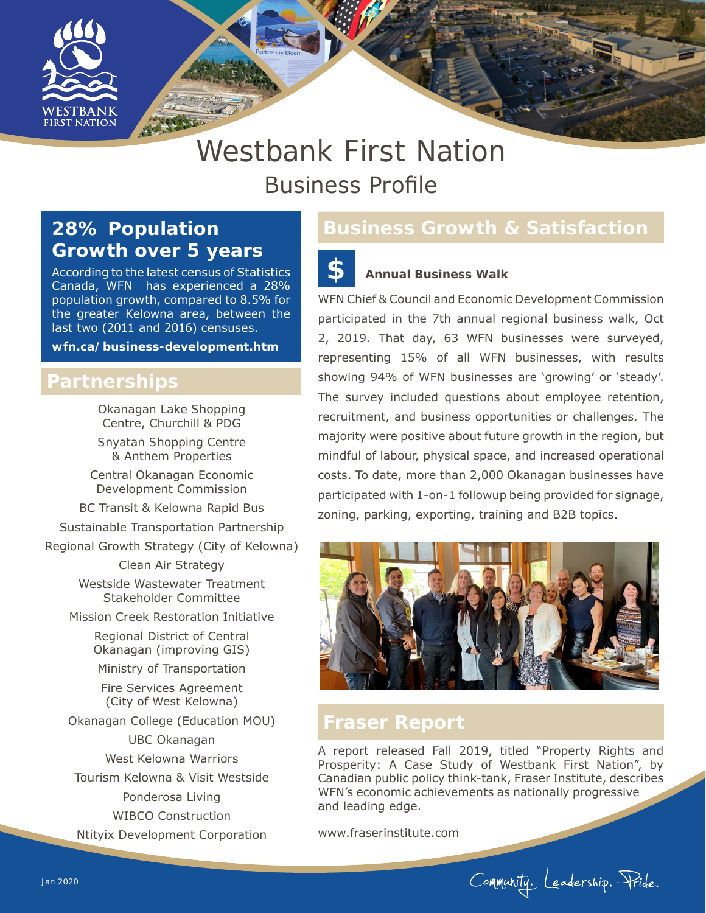

# Westbank First Nation Business Profile

# **28% Population Growth over 5 years**

According to the latest census of Statistics Canada, WFN has experienced a 28% population growth, compared to 8.5% for the greater Kelowna area, between the last two (2011 and 2016) censuses.

**wfn.ca/business-development.htm**

#### **Partnerships**

Okanagan Lake Shopping Centre, Churchill & PDG

Snyatan Shopping Centre & Anthem Properties

Central Okanagan Economic Development Commission

BC Transit & Kelowna Rapid Bus

Sustainable Transportation Partnership

Regional Growth Strategy (City of Kelowna)

Clean Air Strategy

Westside Wastewater Treatment Stakeholder Committee

Mission Creek Restoration Initiative

Regional District of Central Okanagan (improving GIS)

Ministry of Transportation

Fire Services Agreement (City of West Kelowna)

Okanagan College (Education MOU) UBC Okanagan

West Kelowna Warriors

Tourism Kelowna & Visit Westside

Ponderosa Living

WIBCO Construction

Ntityix Development Corporation

#### **Business Growth & Satisfaction**

#### **Annual Business Walk \$**

WFN Chief & Council and Economic Development Commission participated in the 7th annual regional business walk, Oct 2, 2019. That day, 63 WFN businesses were surveyed, representing 15% of all WFN businesses, with results showing 94% of WFN businesses are 'growing' or 'steady'. The survey included questions about employee retention, recruitment, and business opportunities or challenges. The majority were positive about future growth in the region, but mindful of labour, physical space, and increased operational costs. To date, more than 2,000 Okanagan businesses have participated with 1-on-1 followup being provided for signage, zoning, parking, exporting, training and B2B topics.



## **Fraser Report**

A report released Fall 2019, titled "Property Rights and Prosperity: A Case Study of Westbank First Nation", by Canadian public policy think-tank, Fraser Institute, describes WFN's economic achievements as nationally progressive and leading edge.

www.fraserinstitute.com

Community. Leadership. Pride.